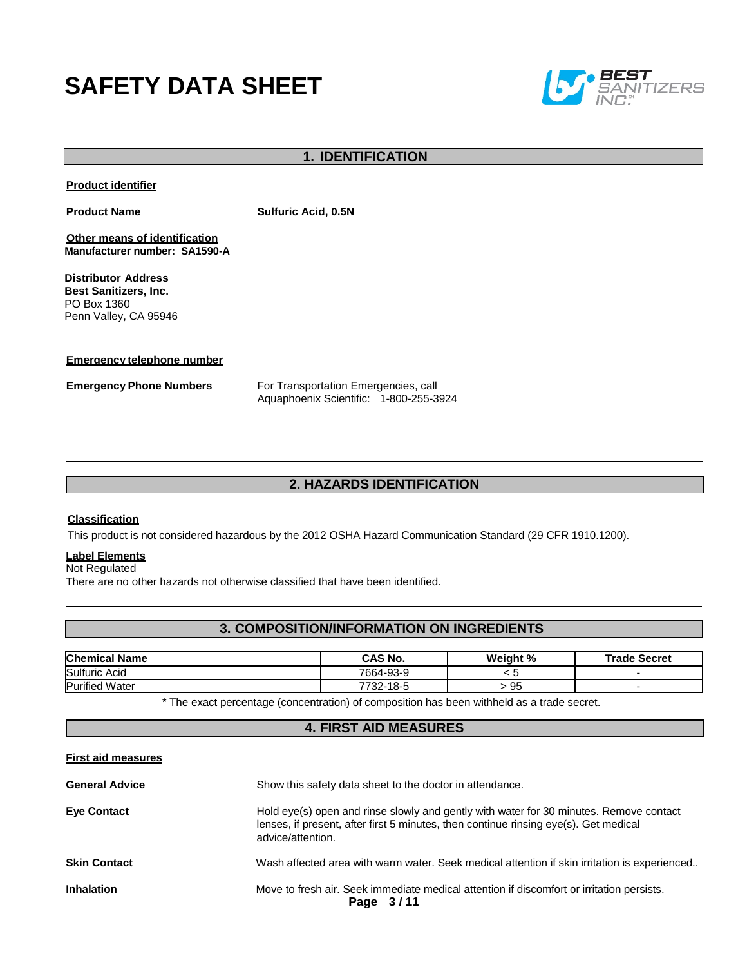# **SAFETY DATA SHEET**



# **1. IDENTIFICATION**

**Product identifier**

**Product Name Sulfuric Acid, 0.5N**

**Other means of identification Manufacturer number: SA1590-A**

**Distributor Address Best Sanitizers, Inc.**  PO Box 1360 Penn Valley, CA 95946

**Emergency telephone number**

**Emergency Phone Numbers** For Transportation Emergencies, call Aquaphoenix Scientific: 1-800-255-3924

# **2. HAZARDS IDENTIFICATION**

#### **Classification**

This product is not considered hazardous by the 2012 OSHA Hazard Communication Standard (29 CFR 1910.1200).

#### **Label Elements**

Not Regulated

There are no other hazards not otherwise classified that have been identified.

# **3. COMPOSITION/INFORMATION ON INGREDIENTS**

| <b>Chemical Name</b>  | CAS No.          | Weight %           | <b>Trade Secret</b> |
|-----------------------|------------------|--------------------|---------------------|
| Sulfuric Acid         | 7664-93-9        | .                  |                     |
| <b>Purified Water</b> | 732-18-5<br>フフつつ | $\sim$<br>ur<br>ືບ |                     |

\* The exact percentage (concentration) of composition has been withheld as a trade secret.

# **4. FIRST AID MEASURES**

#### **First aid measures**

| <b>General Advice</b> | Show this safety data sheet to the doctor in attendance.                                                                                                                                            |  |  |
|-----------------------|-----------------------------------------------------------------------------------------------------------------------------------------------------------------------------------------------------|--|--|
| <b>Eye Contact</b>    | Hold eye(s) open and rinse slowly and gently with water for 30 minutes. Remove contact<br>lenses, if present, after first 5 minutes, then continue rinsing eye(s). Get medical<br>advice/attention. |  |  |
| <b>Skin Contact</b>   | Wash affected area with warm water. Seek medical attention if skin irritation is experienced                                                                                                        |  |  |
| <b>Inhalation</b>     | Move to fresh air. Seek immediate medical attention if discomfort or irritation persists.<br>Page 3/11                                                                                              |  |  |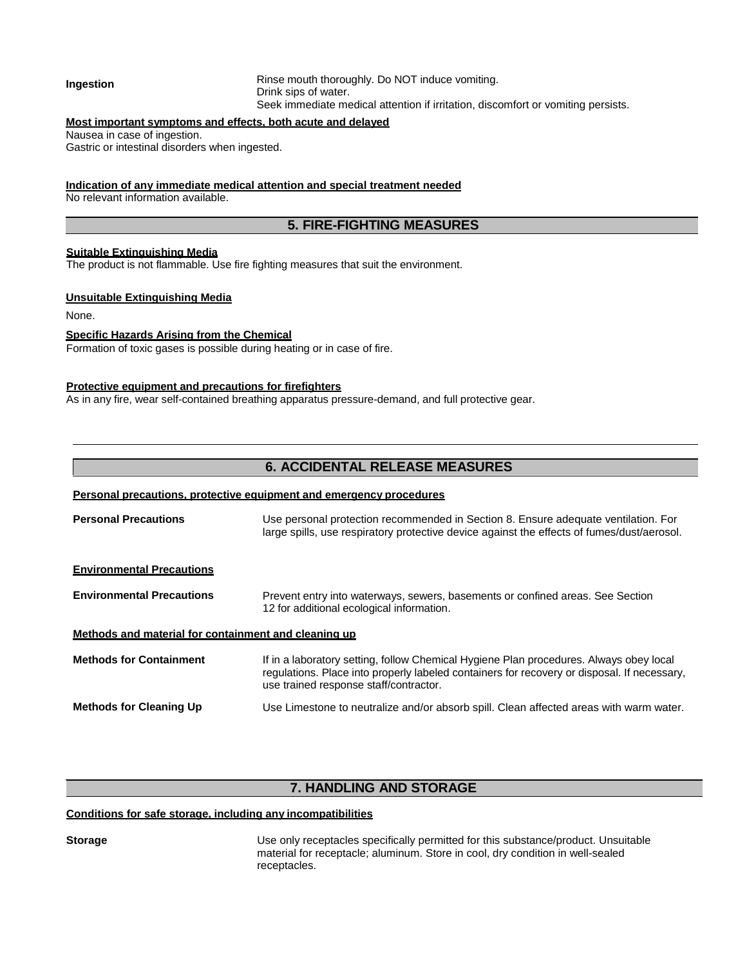#### **Ingestion** Rinse mouth thoroughly. Do NOT induce vomiting. Drink sips of water. Seek immediate medical attention if irritation, discomfort or vomiting persists.

### **Most important symptoms and effects, both acute and delayed**

Nausea in case of ingestion.

Gastric or intestinal disorders when ingested.

#### **Indication of any immediate medical attention and special treatment needed**

No relevant information available.

# **5. FIRE-FIGHTING MEASURES**

#### **Suitable Extinguishing Media**

The product is not flammable. Use fire fighting measures that suit the environment.

#### **Unsuitable Extinguishing Media**

None.

#### **Specific Hazards Arising from the Chemical**

Formation of toxic gases is possible during heating or in case of fire.

#### **Protective equipment and precautions for firefighters**

As in any fire, wear self-contained breathing apparatus pressure-demand, and full protective gear.

# **6. ACCIDENTAL RELEASE MEASURES**

#### **Personal precautions, protective equipment and emergency procedures**

**Personal Precautions** Use personal protection recommended in Section 8. Ensure adequate ventilation. For large spills, use respiratory protective device against the effects of fumes/dust/aerosol.

#### **Environmental Precautions**

**Environmental Precautions** Prevent entry into waterways, sewers, basements or confined areas. See Section 12 for additional ecological information.

#### **Methods and material for containment and cleaning up**

**Methods for Containment** If in a laboratory setting, follow Chemical Hygiene Plan procedures. Always obey local regulations. Place into properly labeled containers for recovery or disposal. If necessary, use trained response staff/contractor. **Methods for Cleaning Up** Use Limestone to neutralize and/or absorb spill. Clean affected areas with warm water.

# **7. HANDLING AND STORAGE**

#### **Conditions for safe storage, including any incompatibilities**

**Storage** This is the Use only receptacles specifically permitted for this substance/product. Unsuitable material for receptacle; aluminum. Store in cool, dry condition in well-sealed receptacles.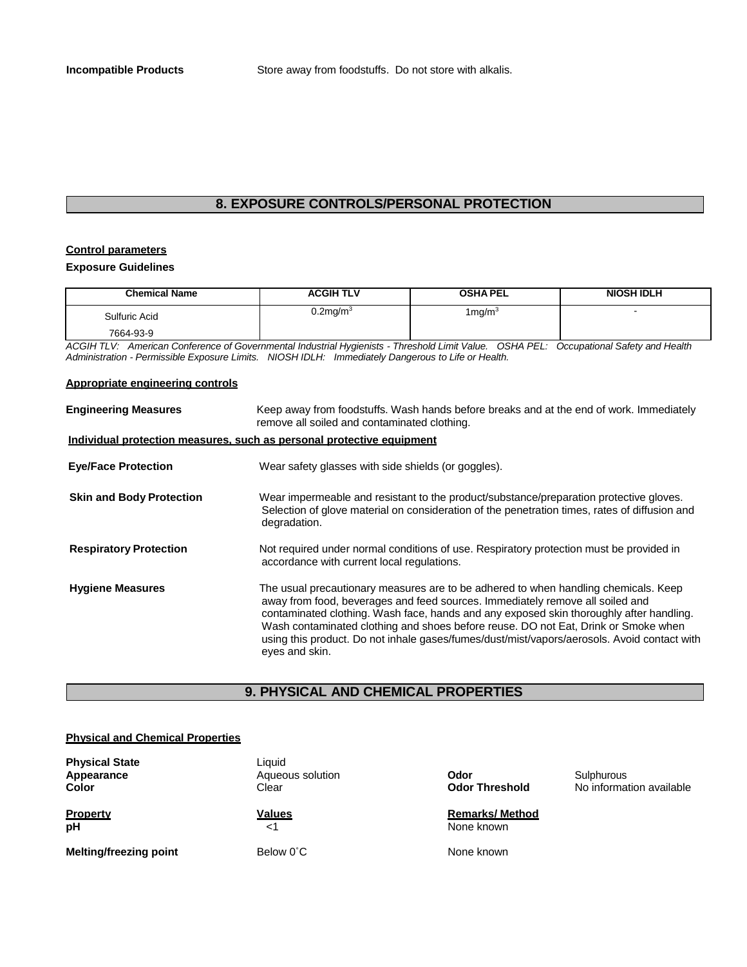# **8. EXPOSURE CONTROLS/PERSONAL PROTECTION**

# **Control parameters**

#### **Exposure Guidelines**

| <b>Chemical Name</b> | <b>ACGIH TLV</b> | <b>OSHA PEL</b> | <b>NIOSH IDLH</b> |
|----------------------|------------------|-----------------|-------------------|
| Sulfuric Acid        | $0.2$ mg/m $3$   | 1mg/m $^3$      |                   |
| 7664-93-9            |                  |                 |                   |

*ACGIH TLV: American Conference of Governmental Industrial Hygienists - Threshold Limit Value. OSHA PEL: Occupational Safety and Health Administration - Permissible Exposure Limits. NIOSH IDLH: Immediately Dangerous to Life or Health.*

#### **Appropriate engineering controls**

| <b>Engineering Measures</b>                                           | Keep away from foodstuffs. Wash hands before breaks and at the end of work. Immediately<br>remove all soiled and contaminated clothing.                                                                                                                                                                                                                                                                                                                                |  |
|-----------------------------------------------------------------------|------------------------------------------------------------------------------------------------------------------------------------------------------------------------------------------------------------------------------------------------------------------------------------------------------------------------------------------------------------------------------------------------------------------------------------------------------------------------|--|
| Individual protection measures, such as personal protective equipment |                                                                                                                                                                                                                                                                                                                                                                                                                                                                        |  |
| <b>Eye/Face Protection</b>                                            | Wear safety glasses with side shields (or goggles).                                                                                                                                                                                                                                                                                                                                                                                                                    |  |
| <b>Skin and Body Protection</b>                                       | Wear impermeable and resistant to the product/substance/preparation protective gloves.<br>Selection of glove material on consideration of the penetration times, rates of diffusion and<br>degradation.                                                                                                                                                                                                                                                                |  |
| <b>Respiratory Protection</b>                                         | Not required under normal conditions of use. Respiratory protection must be provided in<br>accordance with current local regulations.                                                                                                                                                                                                                                                                                                                                  |  |
| <b>Hygiene Measures</b>                                               | The usual precautionary measures are to be adhered to when handling chemicals. Keep<br>away from food, beverages and feed sources. Immediately remove all soiled and<br>contaminated clothing. Wash face, hands and any exposed skin thoroughly after handling.<br>Wash contaminated clothing and shoes before reuse. DO not Eat, Drink or Smoke when<br>using this product. Do not inhale gases/fumes/dust/mist/vapors/aerosols. Avoid contact with<br>eyes and skin. |  |

# **9. PHYSICAL AND CHEMICAL PROPERTIES**

#### **Physical and Chemical Properties**

| <b>Physical State</b><br>Appearance<br><b>Color</b> | Liquid<br>Aqueous solution<br>Clear | Odor<br><b>Odor Threshold</b>       | Sulphurous<br>No information available |
|-----------------------------------------------------|-------------------------------------|-------------------------------------|----------------------------------------|
| <b>Property</b><br>pH                               | <b>Values</b><br>$<$ 1              | <b>Remarks/Method</b><br>None known |                                        |
| <b>Melting/freezing point</b>                       | Below 0°C                           | None known                          |                                        |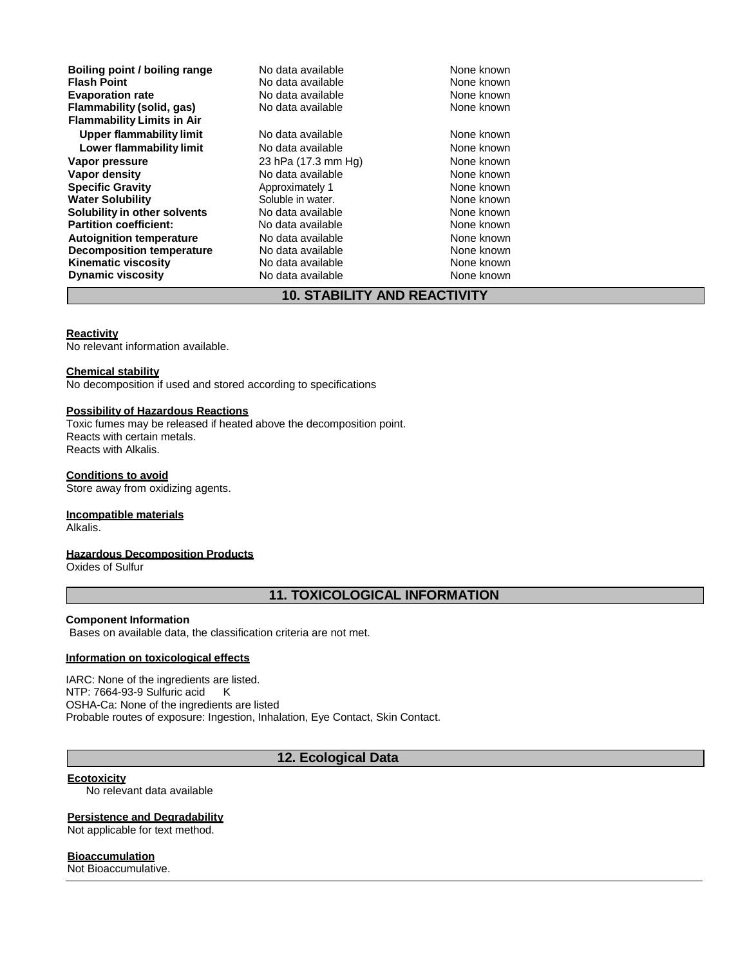**Boiling point / boiling range** No data available **None known**<br> **Flash Point** None known<br>
No data available Mone known **Evaporation rate Reserve State and Reserve Algebra 10 None known**<br> **Flammability (solid, gas)** No data available **None known** None known **Flammability** (solid, gas) **Flammability Limits in Air** Upper flammability limit **No data available** None known **Lower flammability limit** No data available None known<br>
Vapor pressure **None known** 23 hPa (17.3 mm Hg) None known **Vapor pressure** 23 hPa (17.3 mm Hg) None known<br> **Vapor density** None known<br>
None known **Specific Gravity Approximately 1** Approximately 1 None known<br> **Water Solubility Approximately 1** Coluble in water. **Water Solubility Common Soluble in water.<br>
<b>Solubility in other solvents** No data available **Solubility in other solvents** No data available **None known**<br> **Partition coefficient:** No data available None known **Partition coefficient: Autoignition temperature No data available None known**<br> **Decomposition temperature** No data available **None known**<br>
None known **Decomposition temperature** No data available None known<br> **Kinematic viscosity** No data available None known **Kinematic viscosity**<br> **Contains the Cone of the Cone of the View Available** Mone known<br>
None known<br>
None known **Dynamic viscosity** 

**Francisco Monex Available**<br>**Flash Point Available None known**<br>None known

**Vapor density None known**<br> **Approximately 1** Approximately 1

# **10. STABILITY AND REACTIVITY**

#### **Reactivity**

No relevant information available.

#### **Chemical stability**

No decomposition if used and stored according to specifications

#### **Possibility of Hazardous Reactions**

Toxic fumes may be released if heated above the decomposition point. Reacts with certain metals. Reacts with Alkalis.

#### **Conditions to avoid**

Store away from oxidizing agents.

#### **Incompatible materials**

Alkalis.

#### **Hazardous Decomposition Products**

Oxides of Sulfur

### **11. TOXICOLOGICAL INFORMATION**

#### **Component Information**

Bases on available data, the classification criteria are not met.

#### **Information on toxicological effects**

IARC: None of the ingredients are listed. NTP: 7664-93-9 Sulfuric acid K OSHA-Ca: None of the ingredients are listed Probable routes of exposure: Ingestion, Inhalation, Eye Contact, Skin Contact.

# **12. Ecological Data**

#### **Ecotoxicity**

No relevant data available

#### **Persistence and Degradability**

Not applicable for text method.

#### **Bioaccumulation**

Not Bioaccumulative.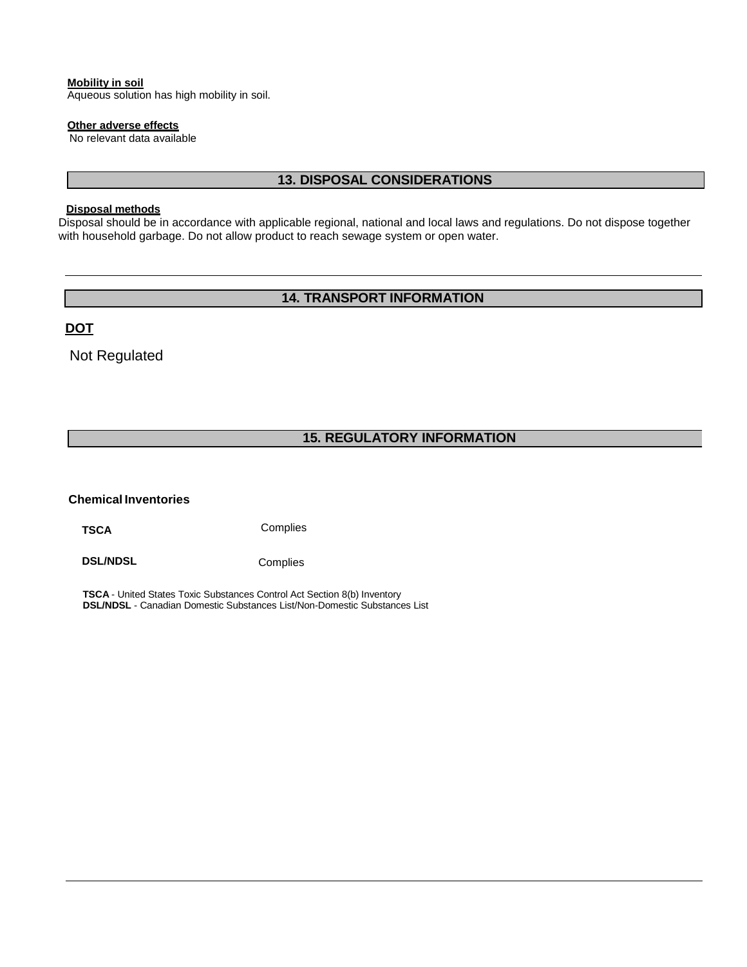#### **Mobility in soil**

Aqueous solution has high mobility in soil.

#### **Other adverse effects**

No relevant data available

# **13. DISPOSAL CONSIDERATIONS**

#### **Disposal methods**

Disposal should be in accordance with applicable regional, national and local laws and regulations. Do not dispose together with household garbage. Do not allow product to reach sewage system or open water.

# **14. TRANSPORT INFORMATION**

**DOT**

Not Regulated

# **15. REGULATORY INFORMATION**

#### **Chemical Inventories**

**TSCA** Complies

**DSL/NDSL** Complies

**TSCA** - United States Toxic Substances Control Act Section 8(b) Inventory **DSL/NDSL** - Canadian Domestic Substances List/Non-Domestic Substances List